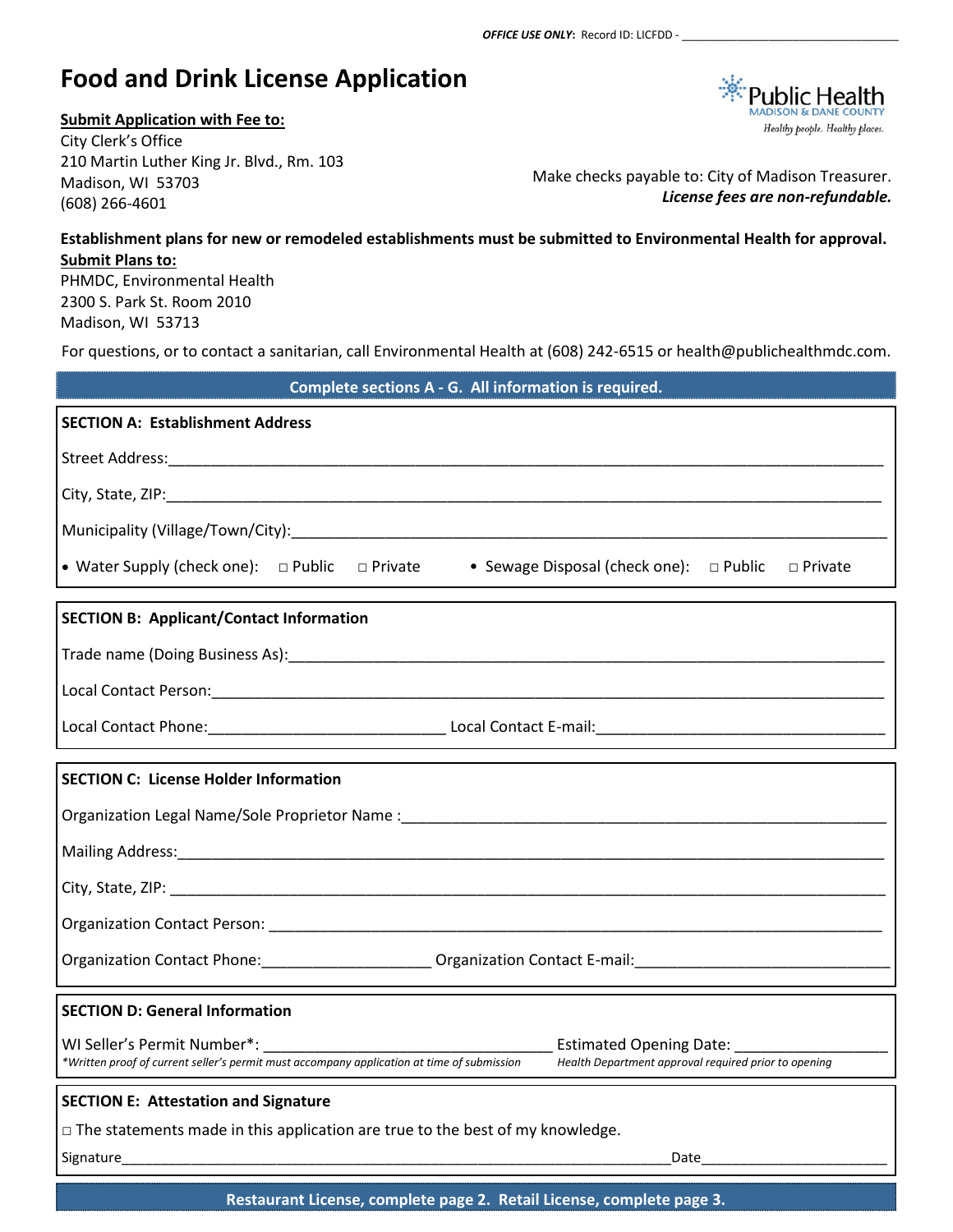# **Food and Drink License Application**

### **Submit Application with Fee to:**

City Clerk's Office 210 Martin Luther King Jr. Blvd., Rm. 103 Madison, WI 53703 (608) 266-4601

**Public Health** Healthy people. Healthy places.

Make checks payable to: City of Madison Treasurer. *License fees are non-refundable.*

## **Establishment plans for new or remodeled establishments must be submitted to Environmental Health for approval. Submit Plans to:**

PHMDC, Environmental Health 2300 S. Park St. Room 2010 Madison, WI 53713

For questions, or to contact a sanitarian, call Environmental Health at (608) 242-6515 or health@publichealthmdc.com.

| Complete sections A - G. All information is required.                                                                                                                                                                                                                      |  |  |  |
|----------------------------------------------------------------------------------------------------------------------------------------------------------------------------------------------------------------------------------------------------------------------------|--|--|--|
| <b>SECTION A: Establishment Address</b>                                                                                                                                                                                                                                    |  |  |  |
|                                                                                                                                                                                                                                                                            |  |  |  |
|                                                                                                                                                                                                                                                                            |  |  |  |
|                                                                                                                                                                                                                                                                            |  |  |  |
| • Water Supply (check one): $\Box$ Public $\Box$ Private<br>• Sewage Disposal (check one): $\Box$ Public<br>□ Private                                                                                                                                                      |  |  |  |
| <b>SECTION B: Applicant/Contact Information</b>                                                                                                                                                                                                                            |  |  |  |
|                                                                                                                                                                                                                                                                            |  |  |  |
|                                                                                                                                                                                                                                                                            |  |  |  |
|                                                                                                                                                                                                                                                                            |  |  |  |
| <b>SECTION C: License Holder Information</b>                                                                                                                                                                                                                               |  |  |  |
|                                                                                                                                                                                                                                                                            |  |  |  |
|                                                                                                                                                                                                                                                                            |  |  |  |
|                                                                                                                                                                                                                                                                            |  |  |  |
|                                                                                                                                                                                                                                                                            |  |  |  |
| Organization Contact Phone: ________________________Organization Contact E-mail: _____________________________                                                                                                                                                             |  |  |  |
| <b>SECTION D: General Information</b>                                                                                                                                                                                                                                      |  |  |  |
| WI Seller's Permit Number*: Manual According Date: All According Date: Manual According Date: Manual According Date:<br>*Written proof of current seller's permit must accompany application at time of submission<br>Health Department approval required prior to opening |  |  |  |
| <b>SECTION E: Attestation and Signature</b>                                                                                                                                                                                                                                |  |  |  |
| $\Box$ The statements made in this application are true to the best of my knowledge.                                                                                                                                                                                       |  |  |  |
| Date Particular Control Control Control Control Control Control Control Control Control Control Control Control Control Control Control Control Control Control Control Control Control Control Control Control Control Contro                                             |  |  |  |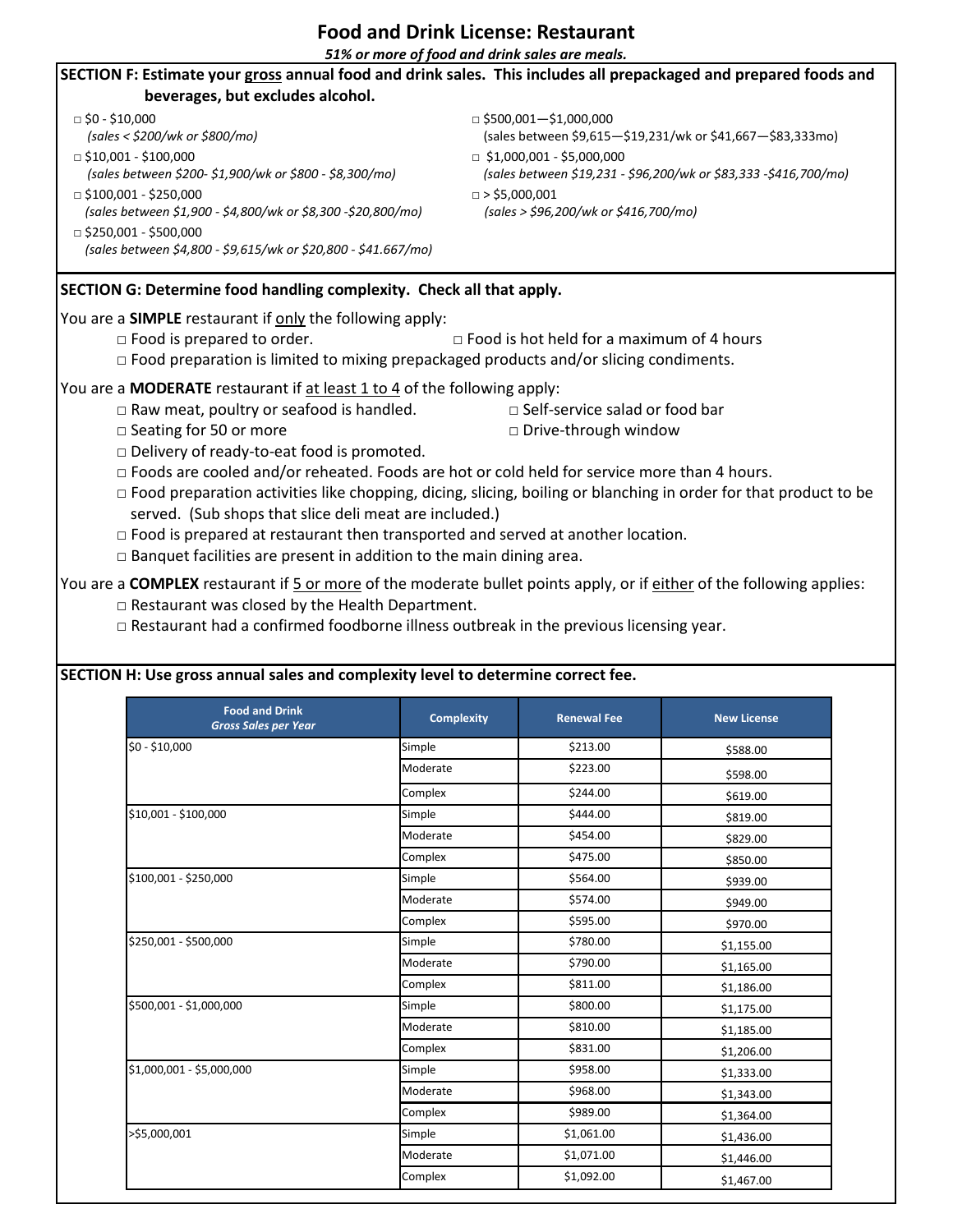# **Food and Drink License: Restaurant**

*51% or more of food and drink sales are meals.*

| SECTION F: Estimate your gross annual food and drink sales. This includes all prepackaged and prepared foods and                                                                                                                                                                                                                                                                                                                                                                                                                                                                                                                                                                                                                                                                                                                                                                                                                                                                                                                                                                                            |                                                               |                                                                                                      |                    |  |  |  |  |
|-------------------------------------------------------------------------------------------------------------------------------------------------------------------------------------------------------------------------------------------------------------------------------------------------------------------------------------------------------------------------------------------------------------------------------------------------------------------------------------------------------------------------------------------------------------------------------------------------------------------------------------------------------------------------------------------------------------------------------------------------------------------------------------------------------------------------------------------------------------------------------------------------------------------------------------------------------------------------------------------------------------------------------------------------------------------------------------------------------------|---------------------------------------------------------------|------------------------------------------------------------------------------------------------------|--------------------|--|--|--|--|
| beverages, but excludes alcohol.                                                                                                                                                                                                                                                                                                                                                                                                                                                                                                                                                                                                                                                                                                                                                                                                                                                                                                                                                                                                                                                                            |                                                               |                                                                                                      |                    |  |  |  |  |
| $\Box$ \$0 - \$10,000<br>(sales < \$200/wk or \$800/mo)                                                                                                                                                                                                                                                                                                                                                                                                                                                                                                                                                                                                                                                                                                                                                                                                                                                                                                                                                                                                                                                     |                                                               | $\Box$ \$500,001-\$1,000,000<br>(sales between \$9,615-\$19,231/wk or \$41,667-\$83,333mo)           |                    |  |  |  |  |
| $\Box$ \$10,001 - \$100,000<br>(sales between \$200-\$1,900/wk or \$800 - \$8,300/mo)                                                                                                                                                                                                                                                                                                                                                                                                                                                                                                                                                                                                                                                                                                                                                                                                                                                                                                                                                                                                                       |                                                               | $\Box$ \$1,000,001 - \$5,000,000<br>(sales between \$19,231 - \$96,200/wk or \$83,333 -\$416,700/mo) |                    |  |  |  |  |
| $\Box$ \$100,001 - \$250,000<br>(sales between \$1,900 - \$4,800/wk or \$8,300 -\$20,800/mo)                                                                                                                                                                                                                                                                                                                                                                                                                                                                                                                                                                                                                                                                                                                                                                                                                                                                                                                                                                                                                | $\Box$ > \$5,000,001<br>(sales > \$96,200/wk or \$416,700/mo) |                                                                                                      |                    |  |  |  |  |
| $\Box$ \$250,001 - \$500,000<br>(sales between \$4,800 - \$9,615/wk or \$20,800 - \$41.667/mo)                                                                                                                                                                                                                                                                                                                                                                                                                                                                                                                                                                                                                                                                                                                                                                                                                                                                                                                                                                                                              |                                                               |                                                                                                      |                    |  |  |  |  |
| SECTION G: Determine food handling complexity. Check all that apply.                                                                                                                                                                                                                                                                                                                                                                                                                                                                                                                                                                                                                                                                                                                                                                                                                                                                                                                                                                                                                                        |                                                               |                                                                                                      |                    |  |  |  |  |
| You are a SIMPLE restaurant if only the following apply:                                                                                                                                                                                                                                                                                                                                                                                                                                                                                                                                                                                                                                                                                                                                                                                                                                                                                                                                                                                                                                                    |                                                               |                                                                                                      |                    |  |  |  |  |
| $\Box$ Food is prepared to order.<br>$\Box$ Food is hot held for a maximum of 4 hours                                                                                                                                                                                                                                                                                                                                                                                                                                                                                                                                                                                                                                                                                                                                                                                                                                                                                                                                                                                                                       |                                                               |                                                                                                      |                    |  |  |  |  |
| □ Food preparation is limited to mixing prepackaged products and/or slicing condiments.                                                                                                                                                                                                                                                                                                                                                                                                                                                                                                                                                                                                                                                                                                                                                                                                                                                                                                                                                                                                                     |                                                               |                                                                                                      |                    |  |  |  |  |
| You are a MODERATE restaurant if at least 1 to 4 of the following apply:<br>$\Box$ Raw meat, poultry or seafood is handled.<br>□ Self-service salad or food bar<br>□ Seating for 50 or more<br>□ Drive-through window<br>Delivery of ready-to-eat food is promoted.<br>$\Box$ Foods are cooled and/or reheated. Foods are hot or cold held for service more than 4 hours.<br>□ Food preparation activities like chopping, dicing, slicing, boiling or blanching in order for that product to be<br>served. (Sub shops that slice deli meat are included.)<br>$\Box$ Food is prepared at restaurant then transported and served at another location.<br>$\Box$ Banquet facilities are present in addition to the main dining area.<br>You are a COMPLEX restaurant if 5 or more of the moderate bullet points apply, or if either of the following applies:<br>$\square$ Restaurant was closed by the Health Department.<br>$\Box$ Restaurant had a confirmed foodborne illness outbreak in the previous licensing year.<br>SECTION H: Use gross annual sales and complexity level to determine correct fee. |                                                               |                                                                                                      |                    |  |  |  |  |
| <b>Food and Drink</b><br><b>Gross Sales per Year</b>                                                                                                                                                                                                                                                                                                                                                                                                                                                                                                                                                                                                                                                                                                                                                                                                                                                                                                                                                                                                                                                        | <b>Complexity</b>                                             | <b>Renewal Fee</b>                                                                                   | <b>New License</b> |  |  |  |  |
| $$0 - $10,000$                                                                                                                                                                                                                                                                                                                                                                                                                                                                                                                                                                                                                                                                                                                                                                                                                                                                                                                                                                                                                                                                                              | Simple                                                        | \$213.00                                                                                             |                    |  |  |  |  |
|                                                                                                                                                                                                                                                                                                                                                                                                                                                                                                                                                                                                                                                                                                                                                                                                                                                                                                                                                                                                                                                                                                             | Moderate                                                      | \$223.00                                                                                             | \$588.00           |  |  |  |  |
|                                                                                                                                                                                                                                                                                                                                                                                                                                                                                                                                                                                                                                                                                                                                                                                                                                                                                                                                                                                                                                                                                                             | Complex                                                       | \$244.00                                                                                             | \$598.00           |  |  |  |  |
| $610.001 + 6100.000$                                                                                                                                                                                                                                                                                                                                                                                                                                                                                                                                                                                                                                                                                                                                                                                                                                                                                                                                                                                                                                                                                        | Cimals                                                        | 611100                                                                                               | \$619.00           |  |  |  |  |

| <b>Food and Drink</b><br><b>Gross Sales per Year</b> | <b>Complexity</b> | <b>Renewal Fee</b> | <b>New License</b> |
|------------------------------------------------------|-------------------|--------------------|--------------------|
| $$0 - $10,000$                                       | Simple            | \$213.00           | \$588.00           |
|                                                      | Moderate          | \$223.00           | \$598.00           |
|                                                      | Complex           | \$244.00           | \$619.00           |
| \$10,001 - \$100,000                                 | Simple            | \$444.00           | \$819.00           |
|                                                      | Moderate          | \$454.00           | \$829.00           |
|                                                      | Complex           | \$475.00           | \$850.00           |
| \$100,001 - \$250,000                                | Simple            | \$564.00           | \$939.00           |
|                                                      | Moderate          | \$574.00           | \$949.00           |
|                                                      | Complex           | \$595.00           | \$970.00           |
| \$250,001 - \$500,000                                | Simple            | \$780.00           | \$1,155.00         |
|                                                      | Moderate          | \$790.00           | \$1,165.00         |
|                                                      | Complex           | \$811.00           | \$1,186.00         |
| \$500,001 - \$1,000,000                              | Simple            | \$800.00           | \$1,175.00         |
|                                                      | Moderate          | \$810.00           | \$1,185.00         |
|                                                      | Complex           | \$831.00           | \$1,206.00         |
| \$1,000,001 - \$5,000,000                            | Simple            | \$958.00           | \$1,333.00         |
|                                                      | Moderate          | \$968.00           | \$1,343.00         |
|                                                      | Complex           | \$989.00           | \$1,364.00         |
| >\$5,000,001                                         | Simple            | \$1,061.00         | \$1,436.00         |
|                                                      | Moderate          | \$1,071.00         | \$1,446.00         |
|                                                      | Complex           | \$1,092.00         | \$1,467.00         |